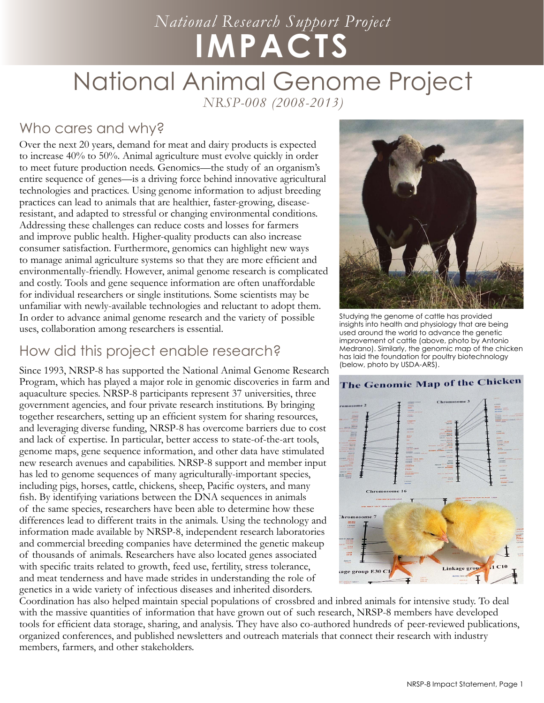# *National Research Support Project* **IMPACTS**

# National Animal Genome Project

*NRSP-008 (2008-2013)*

### Who cares and why?

Over the next 20 years, demand for meat and dairy products is expected to increase 40% to 50%. Animal agriculture must evolve quickly in order to meet future production needs. Genomics—the study of an organism's entire sequence of genes—is a driving force behind innovative agricultural technologies and practices. Using genome information to adjust breeding practices can lead to animals that are healthier, faster-growing, diseaseresistant, and adapted to stressful or changing environmental conditions. Addressing these challenges can reduce costs and losses for farmers and improve public health. Higher-quality products can also increase consumer satisfaction. Furthermore, genomics can highlight new ways to manage animal agriculture systems so that they are more efficient and environmentally-friendly. However, animal genome research is complicated and costly. Tools and gene sequence information are often unaffordable for individual researchers or single institutions. Some scientists may be unfamiliar with newly-available technologies and reluctant to adopt them. In order to advance animal genome research and the variety of possible uses, collaboration among researchers is essential.

#### How did this project enable research?

Since 1993, NRSP-8 has supported the National Animal Genome Research Program, which has played a major role in genomic discoveries in farm and aquaculture species. NRSP-8 participants represent 37 universities, three government agencies, and four private research institutions. By bringing together researchers, setting up an efficient system for sharing resources, and leveraging diverse funding, NRSP-8 has overcome barriers due to cost and lack of expertise. In particular, better access to state-of-the-art tools, genome maps, gene sequence information, and other data have stimulated new research avenues and capabilities. NRSP-8 support and member input has led to genome sequences of many agriculturally-important species, including pigs, horses, cattle, chickens, sheep, Pacific oysters, and many fish. By identifying variations between the DNA sequences in animals of the same species, researchers have been able to determine how these differences lead to different traits in the animals. Using the technology and information made available by NRSP-8, independent research laboratories and commercial breeding companies have determined the genetic makeup of thousands of animals. Researchers have also located genes associated with specific traits related to growth, feed use, fertility, stress tolerance, and meat tenderness and have made strides in understanding the role of genetics in a wide variety of infectious diseases and inherited disorders.



Studying the genome of cattle has provided insights into health and physiology that are being used around the world to advance the genetic improvement of cattle (above, photo by Antonio Medrano). Similarly, the genomic map of the chicken has laid the foundation for poultry biotechnology (below, photo by USDA-ARS).



Coordination has also helped maintain special populations of crossbred and inbred animals for intensive study. To deal with the massive quantities of information that have grown out of such research, NRSP-8 members have developed tools for efficient data storage, sharing, and analysis. They have also co-authored hundreds of peer-reviewed publications, organized conferences, and published newsletters and outreach materials that connect their research with industry members, farmers, and other stakeholders.